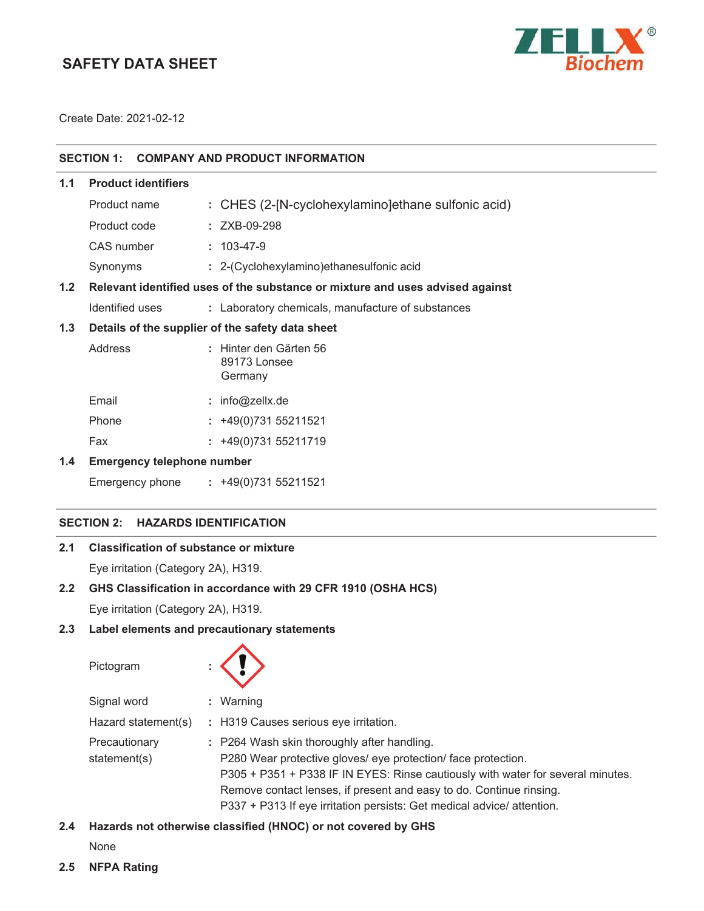# **SAFETY DATA SHEET**



Create Date: 2021-02-12

# **SECTION 1: COMPANY AND PRODUCT INFORMATION**

| 1.1 | <b>Product identifiers</b> |                                                                               |
|-----|----------------------------|-------------------------------------------------------------------------------|
|     | Product name               | : CHES (2-[N-cyclohexylamino]ethane sulfonic acid)                            |
|     | Product code               | $: ZXB-09-298$                                                                |
|     | CAS number                 | $: 103 - 47 - 9$                                                              |
|     | Synonyms                   | : 2-(Cyclohexylamino) ethanesulfonic acid                                     |
| 1.2 |                            | Relevant identified uses of the substance or mixture and uses advised against |
|     | Identified uses            | : Laboratory chemicals, manufacture of substances                             |
| 1.3 |                            | Details of the supplier of the safety data sheet                              |
|     | Address                    | : Hinter den Gärten 56<br>89173 Lonsee<br>Germany                             |
|     | Email                      | . info@zally da                                                               |

| Email | $:$ Info@zelix.de     |
|-------|-----------------------|
| Phone | $: +49(0)73155211521$ |

Fax : +49(0)731 55211719

## **1.4 Emergency telephone number**

Emergency phone **:** 

### **SECTION 2: HAZARDS IDENTIFICATION**

# **2.1 Classification of substance or mixture**

Eye irritation (Category 2A), H319.

# **2.2 GHS Classification in accordance with 29 CFR 1910 (OSHA HCS)**

Eye irritation (Category 2A), H319.

# **2.3 Label elements and precautionary statements**

Pictogram **:**

| Signal word                   | $:$ Warning                                                                                                                                                                                                                                                                                                                                      |
|-------------------------------|--------------------------------------------------------------------------------------------------------------------------------------------------------------------------------------------------------------------------------------------------------------------------------------------------------------------------------------------------|
| Hazard statement(s)           | : H319 Causes serious eye irritation.                                                                                                                                                                                                                                                                                                            |
| Precautionary<br>statement(s) | : P264 Wash skin thoroughly after handling.<br>P280 Wear protective gloves/ eye protection/ face protection.<br>P305 + P351 + P338 IF IN EYES: Rinse cautiously with water for several minutes.<br>Remove contact lenses, if present and easy to do. Continue rinsing.<br>P337 + P313 If eye irritation persists: Get medical advice/ attention. |

# **2.4 Hazards not otherwise classified (HNOC) or not covered by GHS**

None

**2.5 NFPA Rating**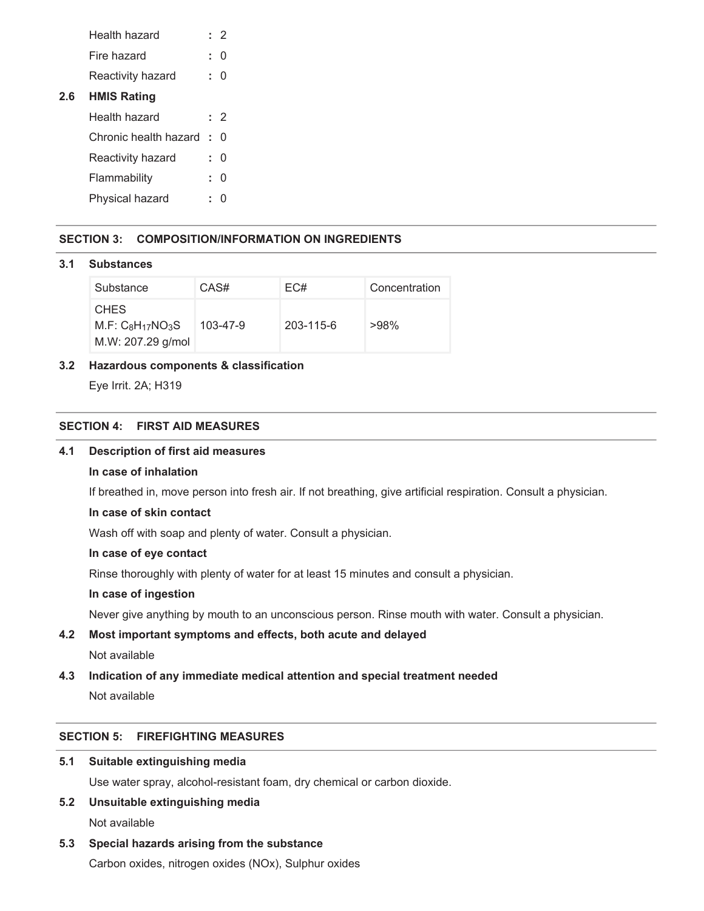|     | Health hazard         |    | : 2 |
|-----|-----------------------|----|-----|
|     | Fire hazard           | t. | O   |
|     | Reactivity hazard     | ÷. | O   |
| 2.6 | <b>HMIS Rating</b>    |    |     |
|     | Health hazard         |    | : 2 |
|     | Chronic health hazard | ÷. | U   |
|     | Reactivity hazard     |    | U   |
|     | Flammability          | t. | O   |
|     | Physical hazard       | t. |     |
|     |                       |    |     |

## **SECTION 3: COMPOSITION/INFORMATION ON INGREDIENTS**

#### **3.1 Substances**

| Substance                                            | CAS#           | EC#             | Concentration |
|------------------------------------------------------|----------------|-----------------|---------------|
| <b>CHES</b><br>$M.F: C8H17NO3S$<br>M.W: 207.29 g/mol | $103 - 47 - 9$ | $203 - 115 - 6$ | $>98\%$       |

## **3.2 Hazardous components & classification**

Eye Irrit. 2A; H319

# **SECTION 4: FIRST AID MEASURES**

## **4.1 Description of first aid measures**

### **In case of inhalation**

If breathed in, move person into fresh air. If not breathing, give artificial respiration. Consult a physician.

## **In case of skin contact**

Wash off with soap and plenty of water. Consult a physician.

## **In case of eye contact**

Rinse thoroughly with plenty of water for at least 15 minutes and consult a physician.

## **In case of ingestion**

Never give anything by mouth to an unconscious person. Rinse mouth with water. Consult a physician.

# **4.2 Most important symptoms and effects, both acute and delayed**

# Not available

# **4.3 Indication of any immediate medical attention and special treatment needed**

Not available

# **SECTION 5: FIREFIGHTING MEASURES**

## **5.1 Suitable extinguishing media**

Use water spray, alcohol-resistant foam, dry chemical or carbon dioxide.

# **5.2 Unsuitable extinguishing media**

Not available

### **5.3 Special hazards arising from the substance**

Carbon oxides, nitrogen oxides (NOx), Sulphur oxides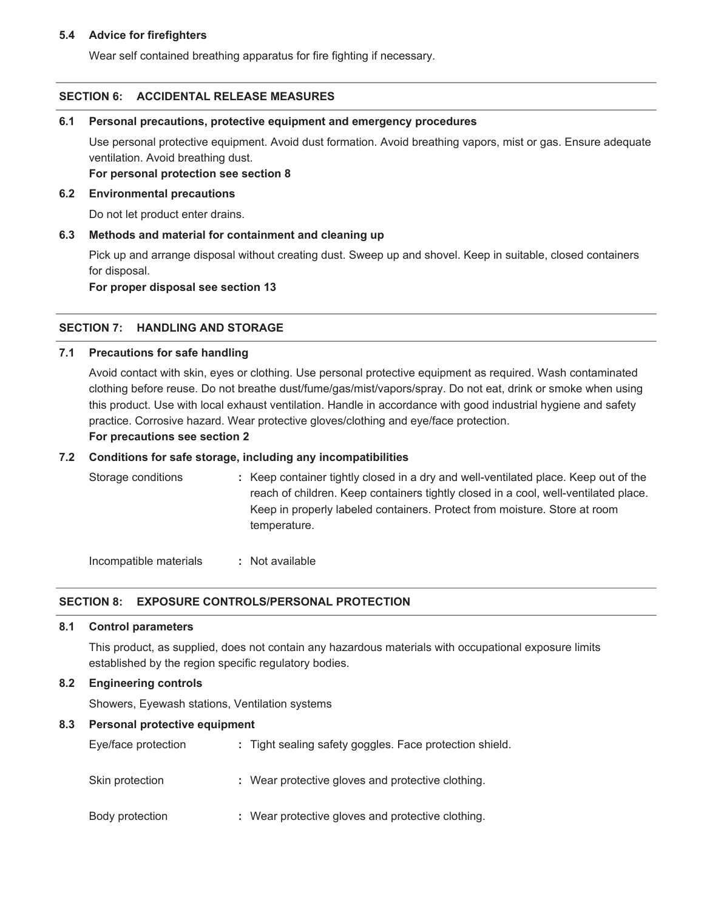## **5.4 Advice for firefighters**

Wear self contained breathing apparatus for fire fighting if necessary.

## **SECTION 6: ACCIDENTAL RELEASE MEASURES**

# **6.1 Personal precautions, protective equipment and emergency procedures**

Use personal protective equipment. Avoid dust formation. Avoid breathing vapors, mist or gas. Ensure adequate ventilation. Avoid breathing dust.

**For personal protection see section 8**

# **6.2 Environmental precautions**

Do not let product enter drains.

# **6.3 Methods and material for containment and cleaning up**

Pick up and arrange disposal without creating dust. Sweep up and shovel. Keep in suitable, closed containers for disposal.

**For proper disposal see section 13**

# **SECTION 7: HANDLING AND STORAGE**

# **7.1 Precautions for safe handling**

Avoid contact with skin, eyes or clothing. Use personal protective equipment as required. Wash contaminated clothing before reuse. Do not breathe dust/fume/gas/mist/vapors/spray. Do not eat, drink or smoke when using this product. Use with local exhaust ventilation. Handle in accordance with good industrial hygiene and safety practice. Corrosive hazard. Wear protective gloves/clothing and eye/face protection.

# **For precautions see section 2**

# **7.2 Conditions for safe storage, including any incompatibilities**

| : Keep container tightly closed in a dry and well-ventilated place. Keep out of the |
|-------------------------------------------------------------------------------------|
| reach of children. Keep containers tightly closed in a cool, well-ventilated place. |
| Keep in properly labeled containers. Protect from moisture. Store at room           |
| temperature.                                                                        |
|                                                                                     |

Incompatible materials **:** Not available

# **SECTION 8: EXPOSURE CONTROLS/PERSONAL PROTECTION**

# **8.1 Control parameters**

This product, as supplied, does not contain any hazardous materials with occupational exposure limits established by the region specific regulatory bodies.

# **8.2 Engineering controls**

Showers, Eyewash stations, Ventilation systems

# **8.3 Personal protective equipment**

| Eye/face protection | : Tight sealing safety goggles. Face protection shield. |
|---------------------|---------------------------------------------------------|
| Skin protection     | : Wear protective gloves and protective clothing.       |
| Body protection     | : Wear protective gloves and protective clothing.       |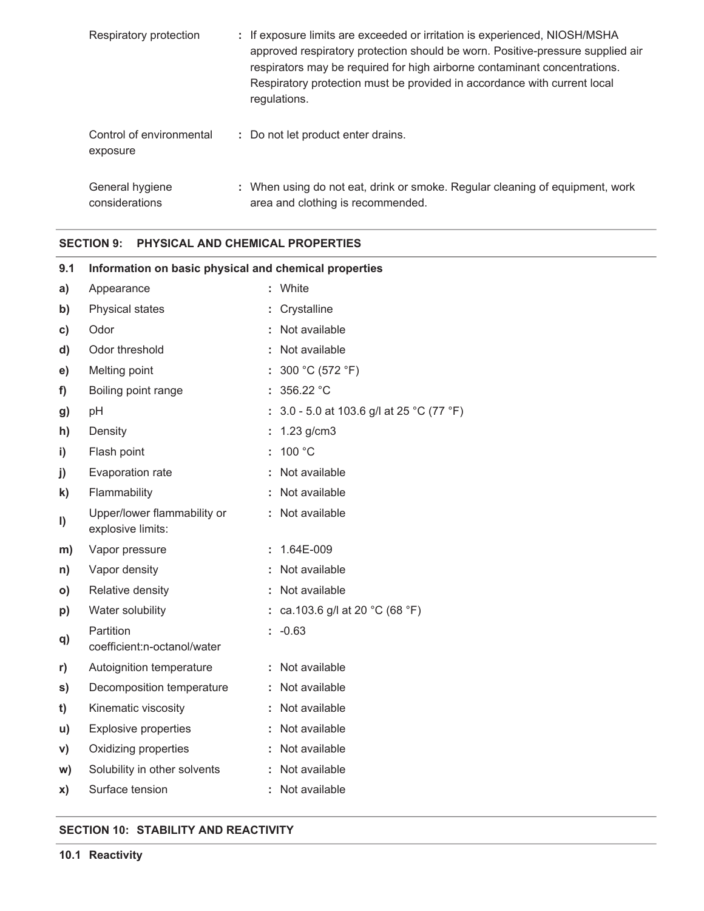| Respiratory protection               | : If exposure limits are exceeded or irritation is experienced, NIOSH/MSHA<br>approved respiratory protection should be worn. Positive-pressure supplied air<br>respirators may be required for high airborne contaminant concentrations.<br>Respiratory protection must be provided in accordance with current local<br>regulations. |
|--------------------------------------|---------------------------------------------------------------------------------------------------------------------------------------------------------------------------------------------------------------------------------------------------------------------------------------------------------------------------------------|
| Control of environmental<br>exposure | : Do not let product enter drains.                                                                                                                                                                                                                                                                                                    |
| General hygiene<br>considerations    | : When using do not eat, drink or smoke. Regular cleaning of equipment, work<br>area and clothing is recommended.                                                                                                                                                                                                                     |

## **SECTION 9: PHYSICAL AND CHEMICAL PROPERTIES**

| Information on basic physical and chemical properties |  |                                                     |  |  |
|-------------------------------------------------------|--|-----------------------------------------------------|--|--|
| Appearance                                            |  | : White                                             |  |  |
| Physical states                                       |  | : Crystalline                                       |  |  |
| Odor                                                  |  | : Not available                                     |  |  |
| Odor threshold                                        |  | Not available                                       |  |  |
| Melting point                                         |  | : $300 °C (572 °F)$                                 |  |  |
| Boiling point range                                   |  | : $356.22 °C$                                       |  |  |
| pH                                                    |  | : $3.0 - 5.0$ at 103.6 g/l at 25 °C (77 °F)         |  |  |
| Density                                               |  | : $1.23$ g/cm3                                      |  |  |
| Flash point                                           |  | 100 $^{\circ}$ C                                    |  |  |
| Evaporation rate                                      |  | : Not available                                     |  |  |
| Flammability                                          |  | : Not available                                     |  |  |
| Upper/lower flammability or<br>explosive limits:      |  | : Not available                                     |  |  |
| Vapor pressure                                        |  | $: 1.64E-009$                                       |  |  |
| Vapor density                                         |  | : Not available                                     |  |  |
| Relative density                                      |  | : Not available                                     |  |  |
| Water solubility                                      |  | : ca.103.6 g/l at 20 $^{\circ}$ C (68 $^{\circ}$ F) |  |  |
| Partition<br>coefficient:n-octanol/water              |  | $: -0.63$                                           |  |  |
| Autoignition temperature                              |  | : Not available                                     |  |  |
| Decomposition temperature                             |  | : Not available                                     |  |  |
| Kinematic viscosity                                   |  | : Not available                                     |  |  |
| <b>Explosive properties</b>                           |  | : Not available                                     |  |  |
| Oxidizing properties                                  |  | : Not available                                     |  |  |
| Solubility in other solvents                          |  | : Not available                                     |  |  |
| Surface tension                                       |  | : Not available                                     |  |  |
|                                                       |  |                                                     |  |  |

# **SECTION 10: STABILITY AND REACTIVITY**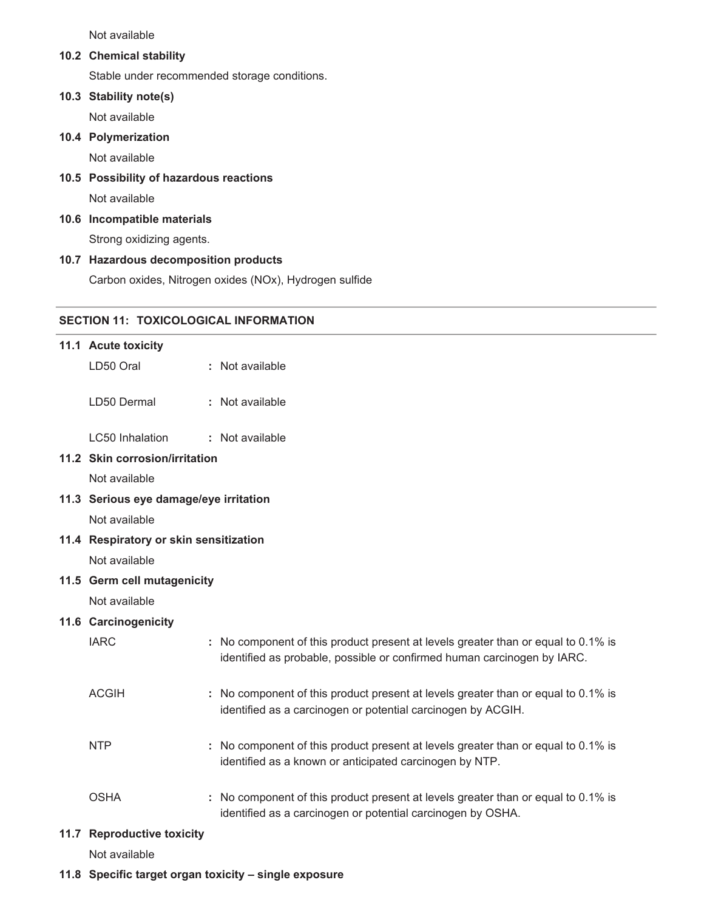Not available

#### **10.2 Chemical stability**

Stable under recommended storage conditions.

#### **10.3 Stability note(s)**

Not available

#### **10.4 Polymerization**

Not available

## **10.5 Possibility of hazardous reactions**

Not available

### **10.6 Incompatible materials**

Strong oxidizing agents.

#### **10.7 Hazardous decomposition products**

Carbon oxides, Nitrogen oxides (NOx), Hydrogen sulfide

# **SECTION 11: TOXICOLOGICAL INFORMATION**

## **11.1 Acute toxicity**

LD50 Oral **:** Not available

LD50 Dermal **:** Not available

LC50 Inhalation **:** Not available

# **11.2 Skin corrosion/irritation**

Not available

**11.3 Serious eye damage/eye irritation**

Not available

## **11.4 Respiratory or skin sensitization**

Not available

### **11.5 Germ cell mutagenicity**

Not available

#### **11.6 Carcinogenicity**

| <b>IARC</b>  | : No component of this product present at levels greater than or equal to 0.1% is<br>identified as probable, possible or confirmed human carcinogen by IARC. |
|--------------|--------------------------------------------------------------------------------------------------------------------------------------------------------------|
| <b>ACGIH</b> | : No component of this product present at levels greater than or equal to 0.1% is<br>identified as a carcinogen or potential carcinogen by ACGIH.            |
| <b>NTP</b>   | : No component of this product present at levels greater than or equal to 0.1% is<br>identified as a known or anticipated carcinogen by NTP.                 |
| <b>OSHA</b>  | : No component of this product present at levels greater than or equal to 0.1% is<br>identified as a carcinogen or potential carcinogen by OSHA.             |

# **11.7 Reproductive toxicity**

Not available

#### **11.8 Specific target organ toxicity – single exposure**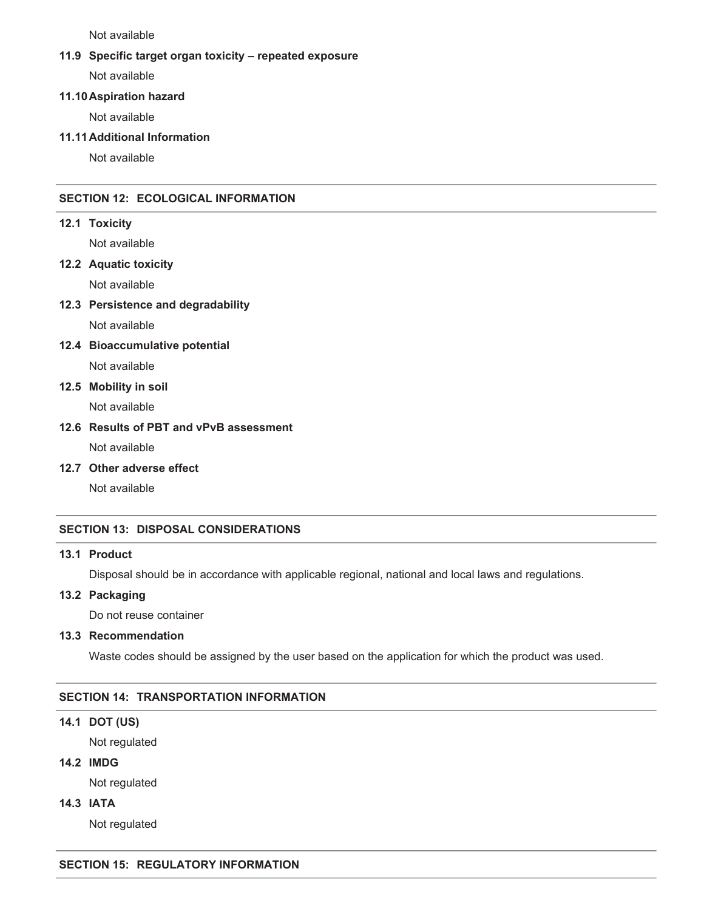Not available

#### **11.9 Specific target organ toxicity – repeated exposure**

Not available

#### **11.10Aspiration hazard**

Not available

#### **11.11Additional Information**

Not available

# **SECTION 12: ECOLOGICAL INFORMATION**

**12.1 Toxicity**

Not available

## **12.2 Aquatic toxicity**

Not available

**12.3 Persistence and degradability**

Not available

**12.4 Bioaccumulative potential**

Not available

# **12.5 Mobility in soil**

Not available

## **12.6 Results of PBT and vPvB assessment**

Not available

**12.7 Other adverse effect**

Not available

### **SECTION 13: DISPOSAL CONSIDERATIONS**

## **13.1 Product**

Disposal should be in accordance with applicable regional, national and local laws and regulations.

## **13.2 Packaging**

Do not reuse container

#### **13.3 Recommendation**

Waste codes should be assigned by the user based on the application for which the product was used.

### **SECTION 14: TRANSPORTATION INFORMATION**

## **14.1 DOT (US)**

Not regulated

#### **14.2 IMDG**

Not regulated

**14.3 IATA**

Not regulated

#### **SECTION 15: REGULATORY INFORMATION**